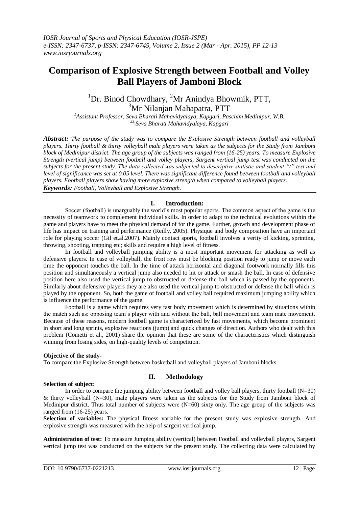# **Comparison of Explosive Strength between Football and Volley Ball Players of Jamboni Block**

<sup>1</sup>Dr. Binod Chowdhary, <sup>2</sup>Mr Anindya Bhowmik, PTT, <sup>3</sup>Mr Nilanjan Mahapatra, PTT

*<sup>1</sup>Assistant Professor, Seva Bharati Mahavidyalaya, Kapgari, Paschim Medinipur, W.B. 23, Seva Bharati Mahavidyalaya, Kapgari*

*Abstract: The purpose of the study was to compare the Explosive Strength between football and volleyball players. Thirty football & thirty volleyball male players were taken as the subjects for the Study from Jamboni block of Medinipur district. The age group of the subjects was ranged from (16-25) years. To measure Explosive Strength (vertical jump) between football and volley players, Sargent vertical jump test was conducted on the subjects for the present study. The data collected was subjected to descriptive statistic and student "t" test and level of significance was set at 0.05 level. There was significant difference found between football and volleyball players. Football players show having more explosive strength when compared to volleyball players. Keywords: Football, Volleyball and Explosive Strength.* 

## **I. Introduction:**

Soccer (football) is unarguably the world's most popular sports. The common aspect of the game is the necessity of teamwork to complement individual skills. In order to adapt to the technical evolutions within the game and players have to meet the physical demand of for the game. Further, growth and development phase of life has impact on training and performance (Reilly, 2005). Physique and body composition have an important role for playing soccer (Gil et.al.2007). Mainly contact sports, football involves a verity of kicking, sprinting, throwing, shooting, trapping etc; skills and require a high level of fitness.

In football and volleyball jumping ability is a most important movement for attacking as well as defensive players. In case of volleyball, the front row must be blocking position ready to jump or move each time the opponent touches the ball. In the time of attack horizontal and diagonal footwork normally fills this position and simultaneously a vertical jump also needed to hit or attack or smash the ball. In case of defensive position here also used the vertical jump to obstructed or defense the ball which is passed by the opponents. Similarly about defensive players they are also used the vertical jump to obstructed or defense the ball which is played by the opponent. So, both the game of football and volley ball required maximum jumping ability which is influence the performance of the game.

Football is a game which requires very fast body movement which is determined by situations within the match such as: opposing team's player with and without the ball, ball movement and team mate movement. Because of these reasons, modern football game is characterized by fast movements, which become prominent in short and long sprints, explosive reactions (jump) and quick changes of direction. Authors who dealt with this problem (Cometti et al., 2001) share the opinion that these are some of the characteristics which distinguish winning from losing sides, on high-quality levels of competition.

#### **Objective of the study-**

To compare the Explosive Strength between basketball and volleyball players of Jamboni blocks.

# **II. Methodology**

## **Selection of subject:**

In order to compare the jumping ability between football and volley ball players, thirty football (N=30) & thirty volleyball (N=30), male players were taken as the subjects for the Study from Jamboni block of Medinipur district. Thus total number of subjects were (N=60) sixty only. The age group of the subjects was ranged from (16-25) years.

**Selection of variables:** The physical fitness variable for the present study was explosive strength. And explosive strength was measured with the help of sargent vertical jump.

**Administration of test:** To measure Jumping ability (vertical) between Football and volleyball players, Sargent vertical jump test was conducted on the subjects for the present study. The collecting data were calculated by